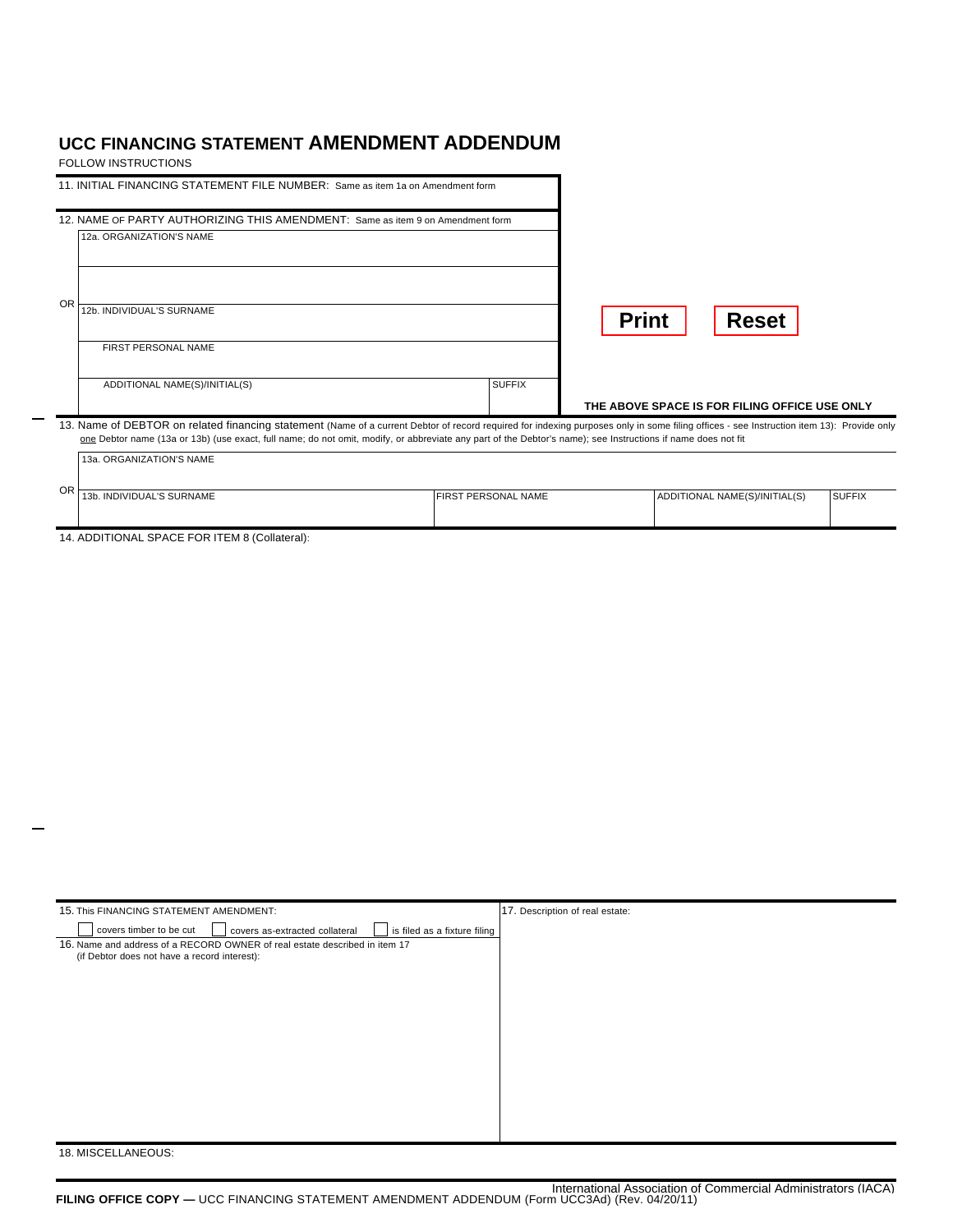## **UCC FINANCING STATEMENT AMENDMENT ADDENDUM**

FOLLOW INSTRUCTIONS

| 11. INITIAL FINANCING STATEMENT FILE NUMBER: Same as item 1a on Amendment form<br>12. NAME OF PARTY AUTHORIZING THIS AMENDMENT: Same as item 9 on Amendment form<br>12a, ORGANIZATION'S NAME                                                                                                                                                                                          |               |                                               |
|---------------------------------------------------------------------------------------------------------------------------------------------------------------------------------------------------------------------------------------------------------------------------------------------------------------------------------------------------------------------------------------|---------------|-----------------------------------------------|
| OR<br>12b. INDIVIDUAL'S SURNAME<br><b>FIRST PERSONAL NAME</b>                                                                                                                                                                                                                                                                                                                         |               | <b>Print</b><br><b>Reset</b>                  |
| ADDITIONAL NAME(S)/INITIAL(S)                                                                                                                                                                                                                                                                                                                                                         | <b>SUFFIX</b> | THE ABOVE SPACE IS FOR FILING OFFICE USE ONLY |
| 13. Name of DEBTOR on related financing statement (Name of a current Debtor of record required for indexing purposes only in some filing offices - see Instruction item 13): Provide only<br>one Debtor name (13a or 13b) (use exact, full name; do not omit, modify, or abbreviate any part of the Debtor's name); see Instructions if name does not fit<br>13a, ORGANIZATION'S NAME |               |                                               |

| OR |                           |                     |                               |               |  |
|----|---------------------------|---------------------|-------------------------------|---------------|--|
|    | 13b. INDIVIDUAL'S SURNAME | FIRST PERSONAL NAME | ADDITIONAL NAME(S)/INITIAL(S) | <b>SUFFIX</b> |  |
|    |                           |                     |                               |               |  |
|    |                           |                     |                               |               |  |
|    |                           |                     |                               |               |  |
|    |                           |                     |                               |               |  |

14. ADDITIONAL SPACE FOR ITEM 8 (Collateral):

| 15. This FINANCING STATEMENT AMENDMENT:                                                   | 17. Description of real estate: |
|-------------------------------------------------------------------------------------------|---------------------------------|
| covers timber to be cut<br>covers as-extracted collateral<br>is filed as a fixture filing |                                 |
| 16. Name and address of a RECORD OWNER of real estate described in item 17                |                                 |
| (if Debtor does not have a record interest):                                              |                                 |
|                                                                                           |                                 |
|                                                                                           |                                 |
|                                                                                           |                                 |
|                                                                                           |                                 |
|                                                                                           |                                 |
|                                                                                           |                                 |
|                                                                                           |                                 |
|                                                                                           |                                 |
|                                                                                           |                                 |
|                                                                                           |                                 |
|                                                                                           |                                 |
|                                                                                           |                                 |
|                                                                                           |                                 |
|                                                                                           |                                 |
| 18. MISCELLANEOUS:                                                                        |                                 |